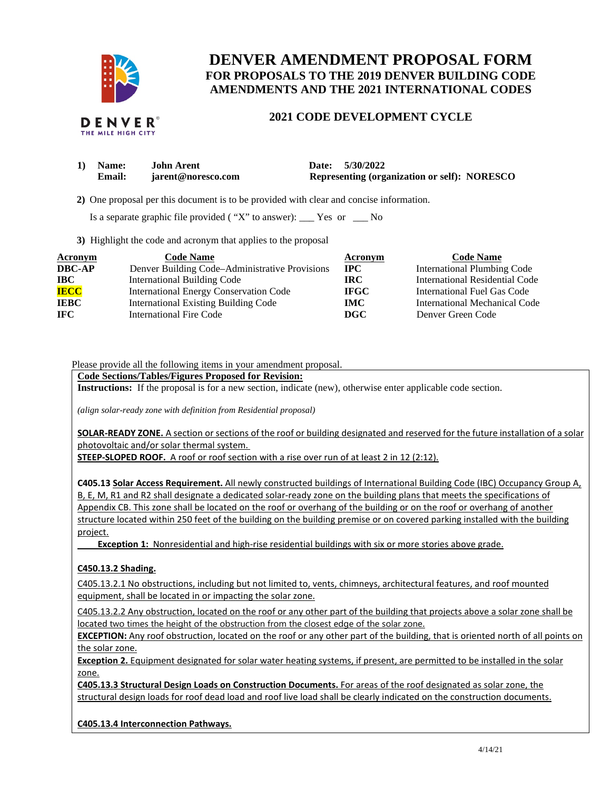

# **DENVER AMENDMENT PROPOSAL FORM FOR PROPOSALS TO THE 2019 DENVER BUILDING CODE AMENDMENTS AND THE 2021 INTERNATIONAL CODES**

# **2021 CODE DEVELOPMENT CYCLE**

| 1) Name:      | <b>John Arent</b>  | Date: 5/30/2022                                     |
|---------------|--------------------|-----------------------------------------------------|
| <b>Email:</b> | jarent@noresco.com | <b>Representing (organization or self): NORESCO</b> |

 **2)** One proposal per this document is to be provided with clear and concise information.

Is a separate graphic file provided ( "X" to answer): \_\_\_ Yes or \_\_\_ No

**3)** Highlight the code and acronym that applies to the proposal

| Acronym       | <b>Code Name</b>                               | Acronym     | <b>Code Name</b>                   |
|---------------|------------------------------------------------|-------------|------------------------------------|
| <b>DBC-AP</b> | Denver Building Code–Administrative Provisions | $\bf{IPC}$  | <b>International Plumbing Code</b> |
| $\bf IBC$     | <b>International Building Code</b>             | IRC.        | International Residential Code     |
| <b>IECC</b>   | <b>International Energy Conservation Code</b>  | <b>IFGC</b> | International Fuel Gas Code        |
| <b>IEBC</b>   | <b>International Existing Building Code</b>    | <b>IMC</b>  | International Mechanical Code      |
| IFC.          | <b>International Fire Code</b>                 | DGC         | Denver Green Code                  |

Please provide all the following items in your amendment proposal.

#### **Code Sections/Tables/Figures Proposed for Revision:**

**Instructions:** If the proposal is for a new section, indicate (new), otherwise enter applicable code section.

*(align solar-ready zone with definition from Residential proposal)* 

**SOLAR-READY ZONE.** A section or sections of the roof or building designated and reserved for the future installation of a solar photovoltaic and/or solar thermal system.

**STEEP-SLOPED ROOF.** A roof or roof section with a rise over run of at least 2 in 12 (2:12).

**C405.13 Solar Access Requirement.** All newly constructed buildings of International Building Code (IBC) Occupancy Group A, B, E, M, R1 and R2 shall designate a dedicated solar-ready zone on the building plans that meets the specifications of Appendix CB. This zone shall be located on the roof or overhang of the building or on the roof or overhang of another structure located within 250 feet of the building on the building premise or on covered parking installed with the building project.

 **Exception 1:** Nonresidential and high-rise residential buildings with six or more stories above grade.

#### **C450.13.2 Shading.**

C405.13.2.1 No obstructions, including but not limited to, vents, chimneys, architectural features, and roof mounted equipment, shall be located in or impacting the solar zone.

C405.13.2.2 Any obstruction, located on the roof or any other part of the building that projects above a solar zone shall be located two times the height of the obstruction from the closest edge of the solar zone.

**EXCEPTION:** Any roof obstruction, located on the roof or any other part of the building, that is oriented north of all points on the solar zone.

**Exception 2.** Equipment designated for solar water heating systems, if present, are permitted to be installed in the solar zone.

**C405.13.3 Structural Design Loads on Construction Documents.** For areas of the roof designated as solar zone, the structural design loads for roof dead load and roof live load shall be clearly indicated on the construction documents.

**C405.13.4 Interconnection Pathways.**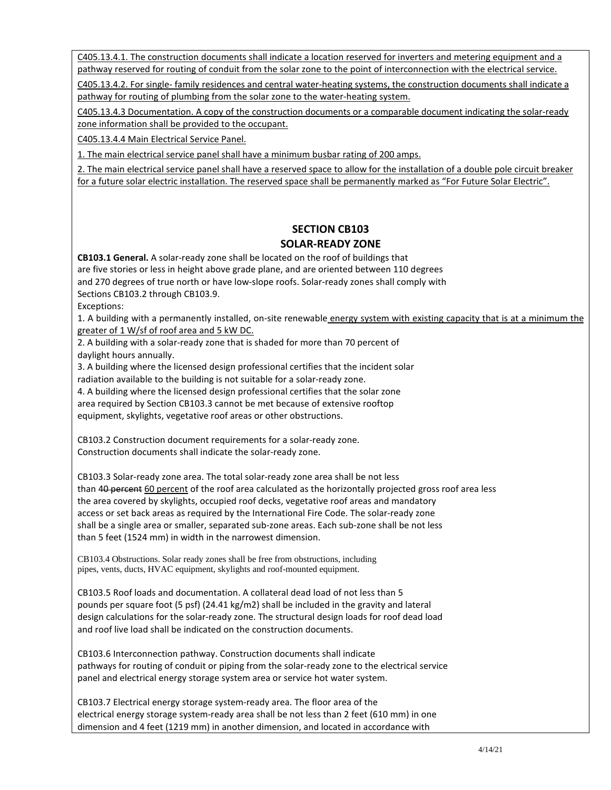C405.13.4.1. The construction documents shall indicate a location reserved for inverters and metering equipment and a pathway reserved for routing of conduit from the solar zone to the point of interconnection with the electrical service.

C405.13.4.2. For single- family residences and central water-heating systems, the construction documents shall indicate a pathway for routing of plumbing from the solar zone to the water-heating system.

C405.13.4.3 Documentation. A copy of the construction documents or a comparable document indicating the solar-ready zone information shall be provided to the occupant.

C405.13.4.4 Main Electrical Service Panel.

1. The main electrical service panel shall have a minimum busbar rating of 200 amps.

2. The main electrical service panel shall have a reserved space to allow for the installation of a double pole circuit breaker for a future solar electric installation. The reserved space shall be permanently marked as "For Future Solar Electric".

### **SECTION CB103 SOLAR-READY ZONE**

**CB103.1 General.** A solar-ready zone shall be located on the roof of buildings that

are five stories or less in height above grade plane, and are oriented between 110 degrees and 270 degrees of true north or have low-slope roofs. Solar-ready zones shall comply with

Sections CB103.2 through CB103.9.

Exceptions:

1. A building with a permanently installed, on-site renewable energy system with existing capacity that is at a minimum the greater of 1 W/sf of roof area and 5 kW DC.

2. A building with a solar-ready zone that is shaded for more than 70 percent of daylight hours annually.

3. A building where the licensed design professional certifies that the incident solar radiation available to the building is not suitable for a solar-ready zone.

4. A building where the licensed design professional certifies that the solar zone area required by Section CB103.3 cannot be met because of extensive rooftop equipment, skylights, vegetative roof areas or other obstructions.

CB103.2 Construction document requirements for a solar-ready zone. Construction documents shall indicate the solar-ready zone.

CB103.3 Solar-ready zone area. The total solar-ready zone area shall be not less than 40 percent 60 percent of the roof area calculated as the horizontally projected gross roof area less the area covered by skylights, occupied roof decks, vegetative roof areas and mandatory access or set back areas as required by the International Fire Code. The solar-ready zone shall be a single area or smaller, separated sub-zone areas. Each sub-zone shall be not less than 5 feet (1524 mm) in width in the narrowest dimension.

CB103.4 Obstructions. Solar ready zones shall be free from obstructions, including pipes, vents, ducts, HVAC equipment, skylights and roof-mounted equipment.

CB103.5 Roof loads and documentation. A collateral dead load of not less than 5 pounds per square foot (5 psf) (24.41 kg/m2) shall be included in the gravity and lateral design calculations for the solar-ready zone. The structural design loads for roof dead load and roof live load shall be indicated on the construction documents.

CB103.6 Interconnection pathway. Construction documents shall indicate pathways for routing of conduit or piping from the solar-ready zone to the electrical service panel and electrical energy storage system area or service hot water system.

CB103.7 Electrical energy storage system-ready area. The floor area of the electrical energy storage system-ready area shall be not less than 2 feet (610 mm) in one dimension and 4 feet (1219 mm) in another dimension, and located in accordance with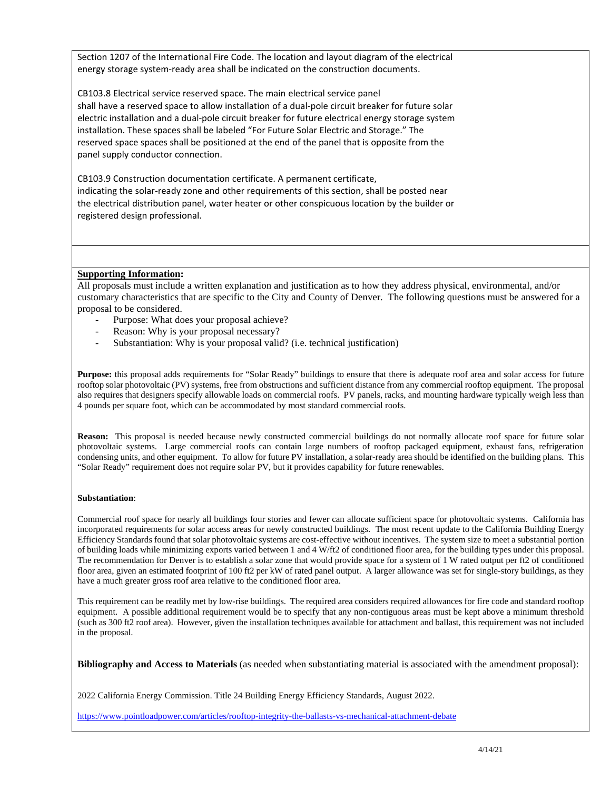Section 1207 of the International Fire Code. The location and layout diagram of the electrical energy storage system-ready area shall be indicated on the construction documents.

CB103.8 Electrical service reserved space. The main electrical service panel shall have a reserved space to allow installation of a dual-pole circuit breaker for future solar electric installation and a dual-pole circuit breaker for future electrical energy storage system installation. These spaces shall be labeled "For Future Solar Electric and Storage." The reserved space spaces shall be positioned at the end of the panel that is opposite from the panel supply conductor connection.

CB103.9 Construction documentation certificate. A permanent certificate, indicating the solar-ready zone and other requirements of this section, shall be posted near the electrical distribution panel, water heater or other conspicuous location by the builder or registered design professional.

#### **Supporting Information:**

All proposals must include a written explanation and justification as to how they address physical, environmental, and/or customary characteristics that are specific to the City and County of Denver. The following questions must be answered for a proposal to be considered.

- Purpose: What does your proposal achieve?
- Reason: Why is your proposal necessary?
- Substantiation: Why is your proposal valid? (i.e. technical justification)

**Purpose:** this proposal adds requirements for "Solar Ready" buildings to ensure that there is adequate roof area and solar access for future rooftop solar photovoltaic (PV) systems, free from obstructions and sufficient distance from any commercial rooftop equipment. The proposal also requires that designers specify allowable loads on commercial roofs. PV panels, racks, and mounting hardware typically weigh less than 4 pounds per square foot, which can be accommodated by most standard commercial roofs.

**Reason:** This proposal is needed because newly constructed commercial buildings do not normally allocate roof space for future solar photovoltaic systems. Large commercial roofs can contain large numbers of rooftop packaged equipment, exhaust fans, refrigeration condensing units, and other equipment. To allow for future PV installation, a solar-ready area should be identified on the building plans. This "Solar Ready" requirement does not require solar PV, but it provides capability for future renewables.

#### **Substantiation**:

Commercial roof space for nearly all buildings four stories and fewer can allocate sufficient space for photovoltaic systems. California has incorporated requirements for solar access areas for newly constructed buildings. The most recent update to the California Building Energy Efficiency Standards found that solar photovoltaic systems are cost-effective without incentives. The system size to meet a substantial portion of building loads while minimizing exports varied between 1 and 4 W/ft2 of conditioned floor area, for the building types under this proposal. The recommendation for Denver is to establish a solar zone that would provide space for a system of 1 W rated output per ft2 of conditioned floor area, given an estimated footprint of 100 ft2 per kW of rated panel output. A larger allowance was set for single-story buildings, as they have a much greater gross roof area relative to the conditioned floor area.

This requirement can be readily met by low-rise buildings. The required area considers required allowances for fire code and standard rooftop equipment. A possible additional requirement would be to specify that any non-contiguous areas must be kept above a minimum threshold (such as 300 ft2 roof area). However, given the installation techniques available for attachment and ballast, this requirement was not included in the proposal.

**Bibliography and Access to Materials** (as needed when substantiating material is associated with the amendment proposal):

2022 California Energy Commission. Title 24 Building Energy Efficiency Standards, August 2022.

<https://www.pointloadpower.com/articles/rooftop-integrity-the-ballasts-vs-mechanical-attachment-debate>